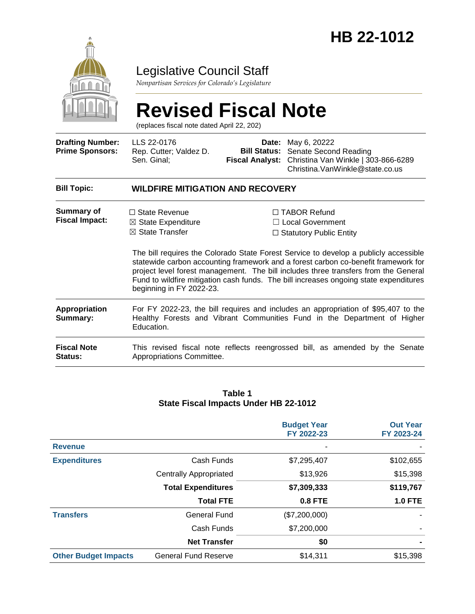

### Legislative Council Staff

*Nonpartisan Services for Colorado's Legislature*

#### **Revised Fiscal Note** (replaces fiscal note dated April 22, 202) **Drafting Number: Prime Sponsors:** LLS 22-0176 Rep. Cutter; Valdez D. Sen. Ginal; **Date:** May 6, 20222 **Bill Status:** Senate Second Reading **Fiscal Analyst:** Christina Van Winkle | 303-866-6289 Christina.VanWinkle@state.co.us **Bill Topic: WILDFIRE MITIGATION AND RECOVERY Summary of Fiscal Impact:** □ State Revenue ☒ State Expenditure ☒ State Transfer ☐ TABOR Refund ☐ Local Government □ Statutory Public Entity The bill requires the Colorado State Forest Service to develop a publicly accessible statewide carbon accounting framework and a forest carbon co-benefit framework for project level forest management. The bill includes three transfers from the General Fund to wildfire mitigation cash funds. The bill increases ongoing state expenditures beginning in FY 2022-23. **Appropriation Summary:** For FY 2022-23, the bill requires and includes an appropriation of \$95,407 to the Healthy Forests and Vibrant Communities Fund in the Department of Higher Education. **Fiscal Note Status:** This revised fiscal note reflects reengrossed bill, as amended by the Senate Appropriations Committee.

#### **Table 1 State Fiscal Impacts Under HB 22-1012**

|                             |                               | <b>Budget Year</b><br>FY 2022-23 | <b>Out Year</b><br>FY 2023-24 |
|-----------------------------|-------------------------------|----------------------------------|-------------------------------|
| <b>Revenue</b>              |                               |                                  |                               |
| <b>Expenditures</b>         | Cash Funds                    | \$7,295,407                      | \$102,655                     |
|                             | <b>Centrally Appropriated</b> | \$13,926                         | \$15,398                      |
|                             | <b>Total Expenditures</b>     | \$7,309,333                      | \$119,767                     |
|                             | <b>Total FTE</b>              | 0.8 FTE                          | <b>1.0 FTE</b>                |
| <b>Transfers</b>            | General Fund                  | (\$7,200,000)                    |                               |
|                             | Cash Funds                    | \$7,200,000                      |                               |
|                             | <b>Net Transfer</b>           | \$0                              |                               |
| <b>Other Budget Impacts</b> | <b>General Fund Reserve</b>   | \$14,311                         | \$15,398                      |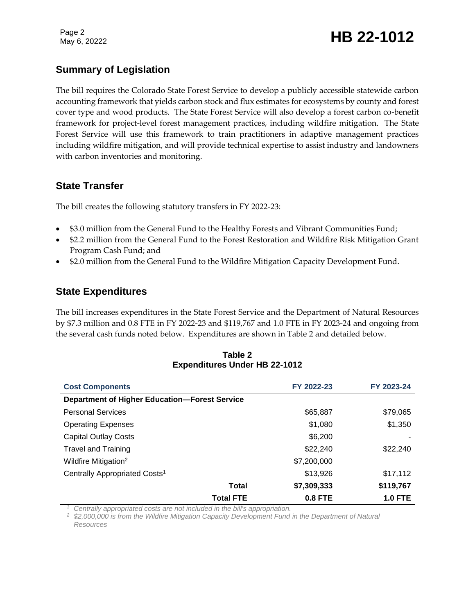### **Summary of Legislation**

The bill requires the Colorado State Forest Service to develop a publicly accessible statewide carbon accounting framework that yields carbon stock and flux estimates for ecosystems by county and forest cover type and wood products. The State Forest Service will also develop a forest carbon co-benefit framework for project-level forest management practices, including wildfire mitigation. The State Forest Service will use this framework to train practitioners in adaptive management practices including wildfire mitigation, and will provide technical expertise to assist industry and landowners with carbon inventories and monitoring.

### **State Transfer**

The bill creates the following statutory transfers in FY 2022-23:

- \$3.0 million from the General Fund to the Healthy Forests and Vibrant Communities Fund;
- \$2.2 million from the General Fund to the Forest Restoration and Wildfire Risk Mitigation Grant Program Cash Fund; and
- \$2.0 million from the General Fund to the Wildfire Mitigation Capacity Development Fund.

### **State Expenditures**

The bill increases expenditures in the State Forest Service and the Department of Natural Resources by \$7.3 million and 0.8 FTE in FY 2022-23 and \$119,767 and 1.0 FTE in FY 2023-24 and ongoing from the several cash funds noted below. Expenditures are shown in Table 2 and detailed below.

| Table 2                              |  |  |  |  |
|--------------------------------------|--|--|--|--|
| <b>Expenditures Under HB 22-1012</b> |  |  |  |  |

| <b>Cost Components</b>                               | FY 2022-23  | FY 2023-24     |  |
|------------------------------------------------------|-------------|----------------|--|
| <b>Department of Higher Education-Forest Service</b> |             |                |  |
| <b>Personal Services</b>                             | \$65,887    | \$79,065       |  |
| <b>Operating Expenses</b>                            | \$1,080     | \$1,350        |  |
| <b>Capital Outlay Costs</b>                          | \$6,200     |                |  |
| <b>Travel and Training</b>                           | \$22,240    | \$22,240       |  |
| Wildfire Mitigation <sup>2</sup>                     | \$7,200,000 |                |  |
| Centrally Appropriated Costs <sup>1</sup>            | \$13,926    | \$17,112       |  |
| Total                                                | \$7,309,333 | \$119,767      |  |
| <b>Total FTE</b>                                     | $0.8$ FTE   | <b>1.0 FTE</b> |  |

*<sup>1</sup> Centrally appropriated costs are not included in the bill's appropriation.*

*<sup>2</sup> \$2,000,000 is from the Wildfire Mitigation Capacity Development Fund in the Department of Natural Resources*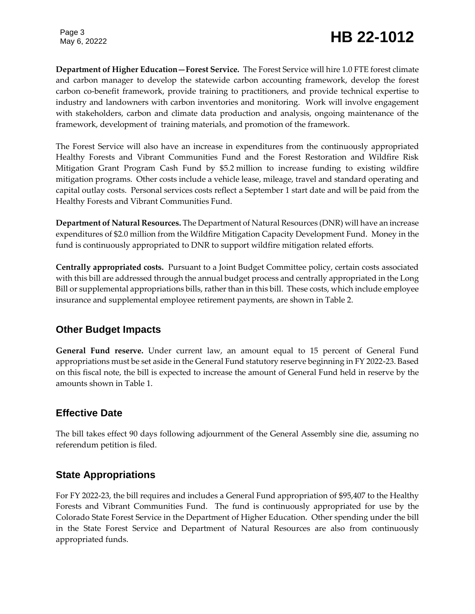# Page 3<br>May 6, 20222<br>**HB 22-1012**

**Department of Higher Education—Forest Service.** The Forest Service will hire 1.0 FTE forest climate and carbon manager to develop the statewide carbon accounting framework, develop the forest carbon co-benefit framework, provide training to practitioners, and provide technical expertise to industry and landowners with carbon inventories and monitoring. Work will involve engagement with stakeholders, carbon and climate data production and analysis, ongoing maintenance of the framework, development of training materials, and promotion of the framework.

The Forest Service will also have an increase in expenditures from the continuously appropriated Healthy Forests and Vibrant Communities Fund and the Forest Restoration and Wildfire Risk Mitigation Grant Program Cash Fund by \$5.2 million to increase funding to existing wildfire mitigation programs. Other costs include a vehicle lease, mileage, travel and standard operating and capital outlay costs. Personal services costs reflect a September 1 start date and will be paid from the Healthy Forests and Vibrant Communities Fund.

**Department of Natural Resources.** The Department of Natural Resources (DNR) will have an increase expenditures of \$2.0 million from the Wildfire Mitigation Capacity Development Fund. Money in the fund is continuously appropriated to DNR to support wildfire mitigation related efforts.

**Centrally appropriated costs.** Pursuant to a Joint Budget Committee policy, certain costs associated with this bill are addressed through the annual budget process and centrally appropriated in the Long Bill or supplemental appropriations bills, rather than in this bill. These costs, which include employee insurance and supplemental employee retirement payments, are shown in Table 2.

### **Other Budget Impacts**

**General Fund reserve.** Under current law, an amount equal to 15 percent of General Fund appropriations must be set aside in the General Fund statutory reserve beginning in FY 2022-23. Based on this fiscal note, the bill is expected to increase the amount of General Fund held in reserve by the amounts shown in Table 1.

### **Effective Date**

The bill takes effect 90 days following adjournment of the General Assembly sine die, assuming no referendum petition is filed.

### **State Appropriations**

For FY 2022-23, the bill requires and includes a General Fund appropriation of \$95,407 to the Healthy Forests and Vibrant Communities Fund. The fund is continuously appropriated for use by the Colorado State Forest Service in the Department of Higher Education. Other spending under the bill in the State Forest Service and Department of Natural Resources are also from continuously appropriated funds.